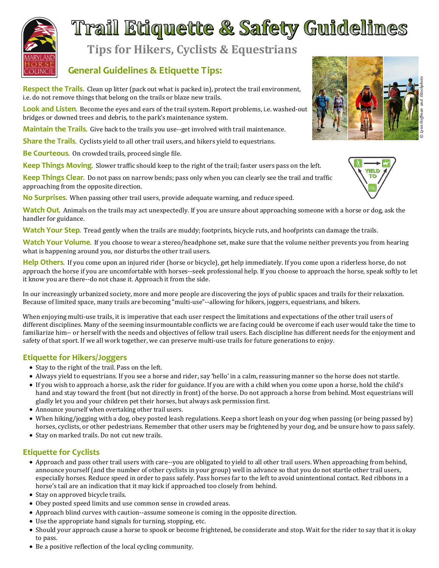

# Trail Etiquette & Safety Guidelines

**Tips for Hikers, Cyclists & Equestrians** 

## **General Guidelines & Etiquette Tips:**

**Respect the Trails.** Clean up litter (pack out what is packed in), protect the trail environment, i.e. do not remove things that belong on the trails or blaze new trails.

**Look and Listen**. Become the eyes and ears of the trail system. Report problems, i.e. washed-out bridges or downed trees and debris, to the park's maintenance system.

**Maintain the Trails**. Give back to the trails you use--get involved with trail maintenance.

**Share the Trails**. Cyclists yield to all other trail users, and hikers yield to equestrians.

**Be Courteous**. On crowded trails, proceed single file.

**Keep Things Moving**. Slower traffic should keep to the right of the trail; faster users pass on the left.

**Keep Things Clear**. Do not pass on narrow bends; pass only when you can clearly see the trail and traffic approaching from the opposite direction.

**No Surprises**. When passing other trail users, provide adequate warning, and reduce speed.

**Watch Out**. Animals on the trails may act unexpectedly. If you are unsure about approaching someone with a horse or dog, ask the handler for guidance.

**Watch Your Step**. Tread gently when the trails are muddy; footprints, bicycle ruts, and hoofprints can damage the trails.

**Watch Your Volume**. If you choose to wear a stereo/headphone set, make sure that the volume neither prevents you from hearing what is happening around you, nor disturbs the other trail users.

**Help Others**. If you come upon an injured rider (horse or bicycle), get help immediately. If you come upon a riderless horse, do not approach the horse if you are uncomfortable with horses--seek professional help. If you choose to approach the horse, speak softly to let it know you are there--do not chase it. Approach it from the side.

In our increasingly urbanized society, more and more people are discovering the joys of public spaces and trails for their relaxation. Because of limited space, many trails are becoming "multi-use"--allowing for hikers, joggers, equestrians, and bikers.

When enjoying multi-use trails, it is imperative that each user respect the limitations and expectations of the other trail users of different disciplines. Many of the seeming insurmountable conflicts we are facing could be overcome if each user would take the time to familiarize him-- or herself with the needs and objectives of fellow trail users. Each discipline has different needs for the enjoyment and safety of that sport. If we all work together, we can preserve multi-use trails for future generations to enjoy.

## **Etiquette for Hikers/Joggers**

- Stay to the right of the trail. Pass on the left.
- Always yield to equestrians. If you see a horse and rider, say 'hello' in a calm, reassuring manner so the horse does not startle.
- If you wish to approach a horse, ask the rider for guidance. If you are with a child when you come upon a horse, hold the child's hand and stay toward the front (but not directly in front) of the horse. Do not approach a horse from behind. Most equestrians will gladly let you and your children pet their horses, but always ask permission first.
- Announce yourself when overtaking other trail users.
- When hiking/jogging with a dog, obey posted leash regulations. Keep a short leash on your dog when passing (or being passed by) horses, cyclists, or other pedestrians. Remember that other users may be frightened by your dog, and be unsure how to pass safely.
- Stay on marked trails. Do not cut new trails.

## **Etiquette for Cyclists**

- Approach and pass other trail users with care--you are obligated to yield to all other trail users. When approaching from behind, announce yourself (and the number of other cyclists in your group) well in advance so that you do not startle other trail users, especially horses. Reduce speed in order to pass safely. Pass horses far to the left to avoid unintentional contact. Red ribbons in a horse's tail are an indication that it may kick if approached too closely from behind.
- Stay on approved bicycle trails.
- Obey posted speed limits and use common sense in crowded areas.
- Approach blind curves with caution--assume someone is coming in the opposite direction.
- Use the appropriate hand signals for turning, stopping, etc.
- Should your approach cause a horse to spook or become frightened, be considerate and stop. Wait for the rider to say that it is okay to pass.
- Be a positive reflection of the local cycling community.